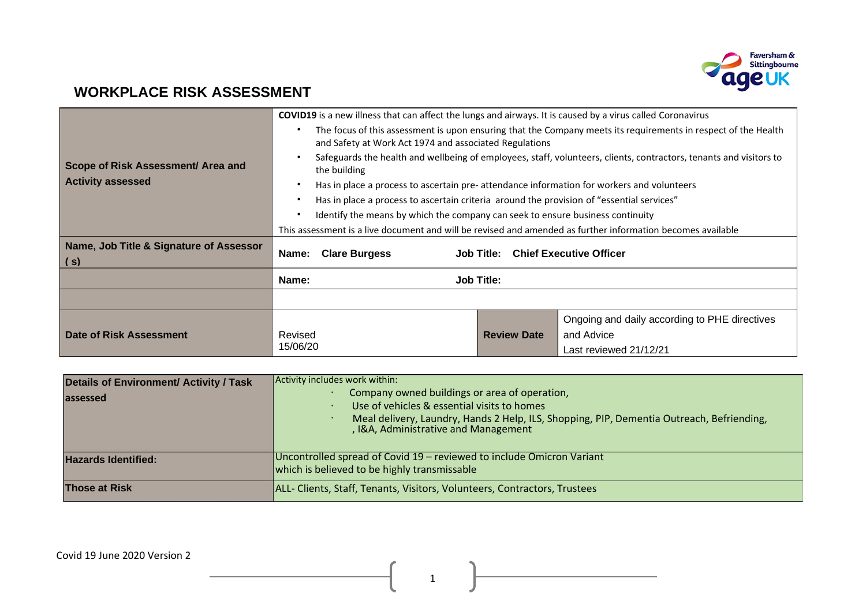

# **WORKPLACE RISK ASSESSMENT**

|                                                                                                                                    |                                                                                                                                    | <b>COVID19</b> is a new illness that can affect the lungs and airways. It is caused by a virus called Coronavirus |  |  |  |  |
|------------------------------------------------------------------------------------------------------------------------------------|------------------------------------------------------------------------------------------------------------------------------------|-------------------------------------------------------------------------------------------------------------------|--|--|--|--|
|                                                                                                                                    | The focus of this assessment is upon ensuring that the Company meets its requirements in respect of the Health<br>$\bullet$        |                                                                                                                   |  |  |  |  |
|                                                                                                                                    | and Safety at Work Act 1974 and associated Regulations                                                                             |                                                                                                                   |  |  |  |  |
| Scope of Risk Assessment/ Area and                                                                                                 | Safeguards the health and wellbeing of employees, staff, volunteers, clients, contractors, tenants and visitors to<br>the building |                                                                                                                   |  |  |  |  |
| <b>Activity assessed</b><br>Has in place a process to ascertain pre-attendance information for workers and volunteers<br>$\bullet$ |                                                                                                                                    |                                                                                                                   |  |  |  |  |
|                                                                                                                                    | Has in place a process to ascertain criteria around the provision of "essential services"<br>$\bullet$                             |                                                                                                                   |  |  |  |  |
|                                                                                                                                    | Identify the means by which the company can seek to ensure business continuity<br>$\bullet$                                        |                                                                                                                   |  |  |  |  |
|                                                                                                                                    |                                                                                                                                    | This assessment is a live document and will be revised and amended as further information becomes available       |  |  |  |  |
| Name, Job Title & Signature of Assessor<br>(s)                                                                                     | Name:<br><b>Clare Burgess</b>                                                                                                      | <b>Job Title: Chief Executive Officer</b>                                                                         |  |  |  |  |
|                                                                                                                                    | Name:                                                                                                                              | <b>Job Title:</b>                                                                                                 |  |  |  |  |
|                                                                                                                                    |                                                                                                                                    |                                                                                                                   |  |  |  |  |
|                                                                                                                                    |                                                                                                                                    | Ongoing and daily according to PHE directives                                                                     |  |  |  |  |
| Date of Risk Assessment                                                                                                            | Revised                                                                                                                            | <b>Review Date</b><br>and Advice                                                                                  |  |  |  |  |
|                                                                                                                                    | 15/06/20                                                                                                                           | Last reviewed 21/12/21                                                                                            |  |  |  |  |

| Details of Environment/ Activity / Task<br>lassessed | Activity includes work within:<br>Company owned buildings or area of operation,<br>Use of vehicles & essential visits to homes<br>Meal delivery, Laundry, Hands 2 Help, ILS, Shopping, PIP, Dementia Outreach, Befriending,<br>, I&A, Administrative and Management |
|------------------------------------------------------|---------------------------------------------------------------------------------------------------------------------------------------------------------------------------------------------------------------------------------------------------------------------|
| <b>Hazards Identified:</b>                           | Uncontrolled spread of Covid 19 – reviewed to include Omicron Variant<br>which is believed to be highly transmissable                                                                                                                                               |
| <b>Those at Risk</b>                                 | ALL- Clients, Staff, Tenants, Visitors, Volunteers, Contractors, Trustees                                                                                                                                                                                           |

1

<u> 1989 - Johann Barbara, martin a</u>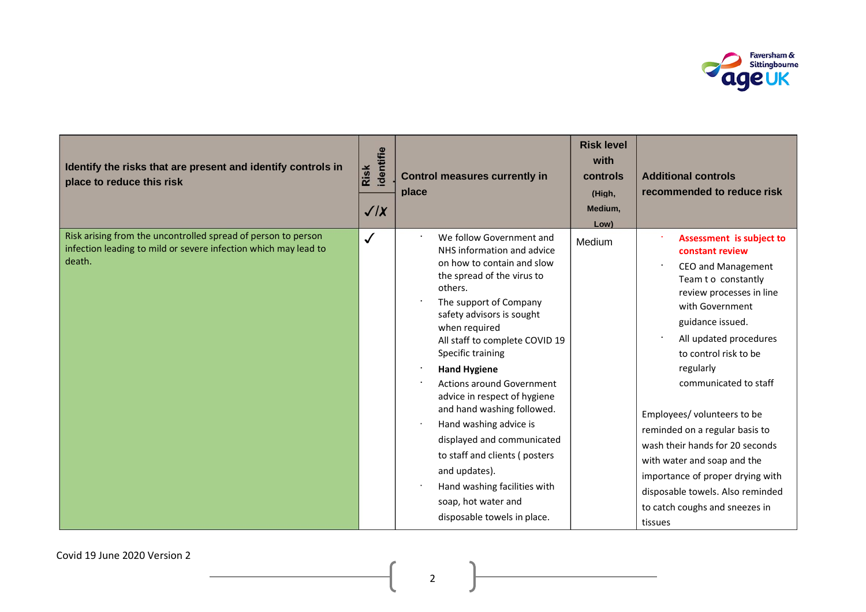

| Identify the risks that are present and identify controls in<br>place to reduce this risk                                                  | identifie<br>Risk<br>$\sqrt{X}$ | <b>Control measures currently in</b><br>place                                                                                                                                                                                                                                                                                                                                                                                                                                                                                                                                         | <b>Risk level</b><br>with<br>controls<br>(High,<br>Medium,<br>Low) | <b>Additional controls</b><br>recommended to reduce risk                                                                                                                                                                                                                                                                                                                                                                                                                                                     |
|--------------------------------------------------------------------------------------------------------------------------------------------|---------------------------------|---------------------------------------------------------------------------------------------------------------------------------------------------------------------------------------------------------------------------------------------------------------------------------------------------------------------------------------------------------------------------------------------------------------------------------------------------------------------------------------------------------------------------------------------------------------------------------------|--------------------------------------------------------------------|--------------------------------------------------------------------------------------------------------------------------------------------------------------------------------------------------------------------------------------------------------------------------------------------------------------------------------------------------------------------------------------------------------------------------------------------------------------------------------------------------------------|
| Risk arising from the uncontrolled spread of person to person<br>infection leading to mild or severe infection which may lead to<br>death. | $\checkmark$                    | We follow Government and<br>NHS information and advice<br>on how to contain and slow<br>the spread of the virus to<br>others.<br>The support of Company<br>safety advisors is sought<br>when required<br>All staff to complete COVID 19<br>Specific training<br><b>Hand Hygiene</b><br><b>Actions around Government</b><br>advice in respect of hygiene<br>and hand washing followed.<br>Hand washing advice is<br>displayed and communicated<br>to staff and clients (posters<br>and updates).<br>Hand washing facilities with<br>soap, hot water and<br>disposable towels in place. | Medium                                                             | Assessment is subject to<br>constant review<br>CEO and Management<br>Team t o constantly<br>review processes in line<br>with Government<br>guidance issued.<br>All updated procedures<br>to control risk to be<br>regularly<br>communicated to staff<br>Employees/ volunteers to be<br>reminded on a regular basis to<br>wash their hands for 20 seconds<br>with water and soap and the<br>importance of proper drying with<br>disposable towels. Also reminded<br>to catch coughs and sneezes in<br>tissues |

Covid 19 June 2020 Version 2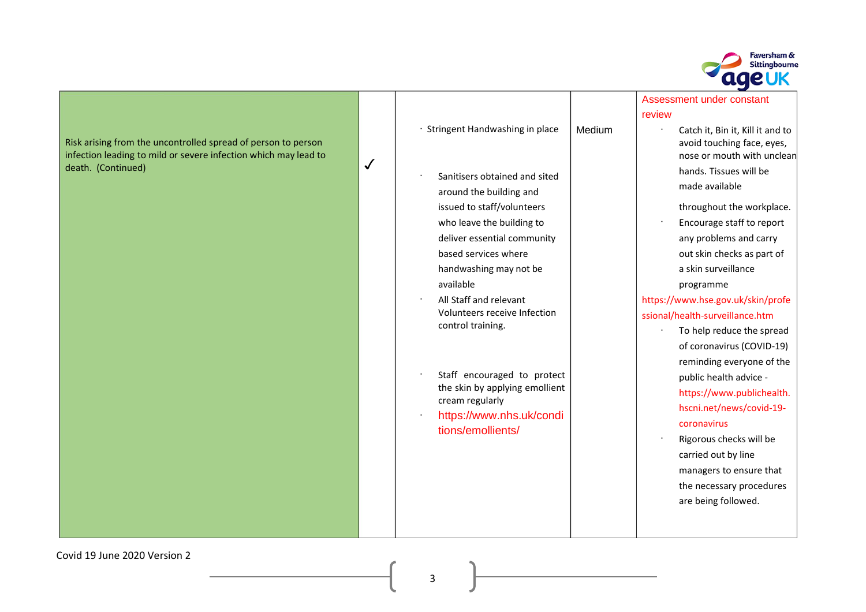

| Risk arising from the uncontrolled spread of person to person   |  |
|-----------------------------------------------------------------|--|
| infection leading to mild or severe infection which may lead to |  |
| death. (Continued)                                              |  |

|                                                                                                                                                                                 |        | review                                                                                                                                                                                                                         |
|---------------------------------------------------------------------------------------------------------------------------------------------------------------------------------|--------|--------------------------------------------------------------------------------------------------------------------------------------------------------------------------------------------------------------------------------|
| · Stringent Handwashing in place                                                                                                                                                | Medium | Catch it, Bin it, Kill it and to<br>avoid touching face, eyes,<br>nose or mouth with unclean                                                                                                                                   |
| Sanitisers obtained and sited<br>around the building and                                                                                                                        |        | hands. Tissues will be<br>made available                                                                                                                                                                                       |
| issued to staff/volunteers<br>who leave the building to<br>deliver essential community<br>based services where<br>handwashing may not be<br>available<br>All Staff and relevant |        | throughout the workplace.<br>Encourage staff to report<br>any problems and carry<br>out skin checks as part of<br>a skin surveillance<br>programme<br>https://www.hse.gov.uk/skin/profe                                        |
| Volunteers receive Infection<br>control training.                                                                                                                               |        | ssional/health-surveillance.htm<br>To help reduce the spread<br>of coronavirus (COVID-19)<br>reminding everyone of the                                                                                                         |
| Staff encouraged to protect<br>the skin by applying emollient<br>cream regularly<br>https://www.nhs.uk/condi<br>tions/emollients/                                               |        | public health advice -<br>https://www.publichealth.<br>hscni.net/news/covid-19-<br>coronavirus<br>Rigorous checks will be<br>carried out by line<br>managers to ensure that<br>the necessary procedures<br>are being followed. |

Assessment under constant

## se.gov.uk/skin/profe surveillance.htm

- Ip reduce the spread onavirus (COVID-19) ding everyone of the [health](https://www.publichealth.hscni.net/news/covid-19-coronavirus) [advice](https://www.publichealth.hscni.net/news/covid-19-coronavirus) [-](https://www.publichealth.hscni.net/news/covid-19-coronavirus) //www.publichealth. net/news/covid-19avirus
- ous checks will be out by line ers to ensure that cessary procedures ing followed.

Covid 19 June 2020 Version 2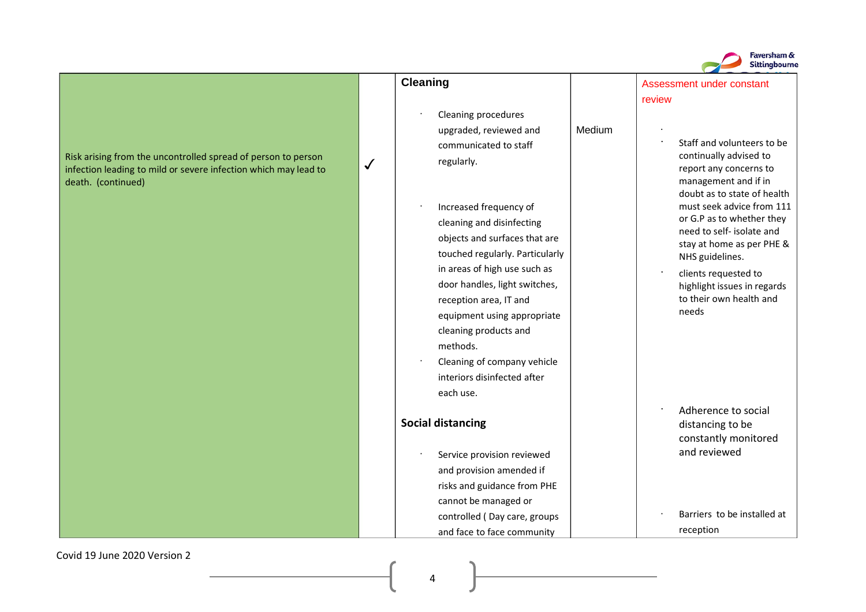

Covid 19 June 2020 Version 2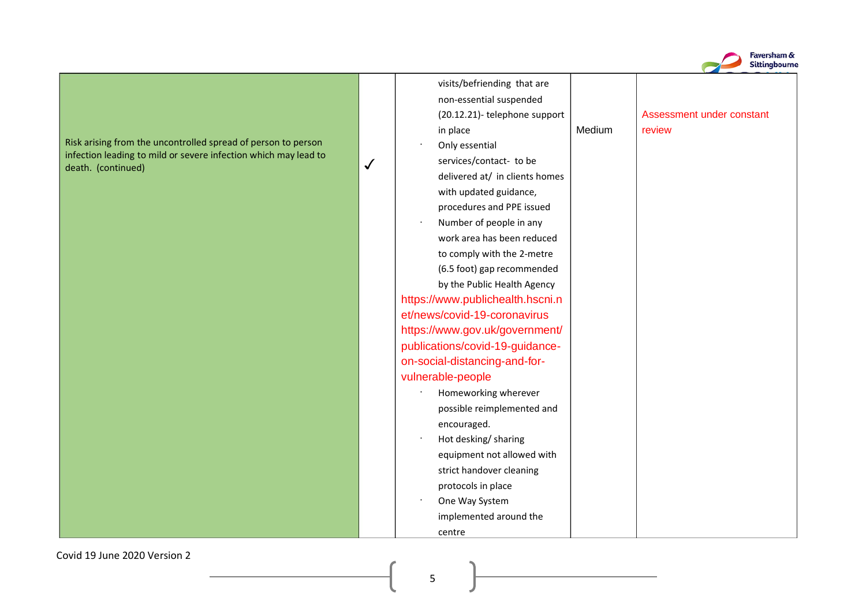

| visits/befriending that are      |        |                           |
|----------------------------------|--------|---------------------------|
| non-essential suspended          |        |                           |
| (20.12.21)- telephone support    |        | Assessment under constant |
| in place                         | Medium | review                    |
| Only essential                   |        |                           |
| services/contact- to be          |        |                           |
| delivered at/ in clients homes   |        |                           |
| with updated guidance,           |        |                           |
| procedures and PPE issued        |        |                           |
| Number of people in any          |        |                           |
| work area has been reduced       |        |                           |
| to comply with the 2-metre       |        |                           |
| (6.5 foot) gap recommended       |        |                           |
| by the Public Health Agency      |        |                           |
| https://www.publichealth.hscni.n |        |                           |
| et/news/covid-19-coronavirus     |        |                           |
| https://www.gov.uk/government/   |        |                           |
| publications/covid-19-guidance-  |        |                           |
| on-social-distancing-and-for-    |        |                           |
| vulnerable-people                |        |                           |
| Homeworking wherever             |        |                           |
| possible reimplemented and       |        |                           |
| encouraged.                      |        |                           |
| Hot desking/ sharing             |        |                           |
| equipment not allowed with       |        |                           |
| strict handover cleaning         |        |                           |
| protocols in place               |        |                           |
| One Way System                   |        |                           |
| implemented around the           |        |                           |
| centre                           |        |                           |

Covid 19 June 2020 Version 2

5

₹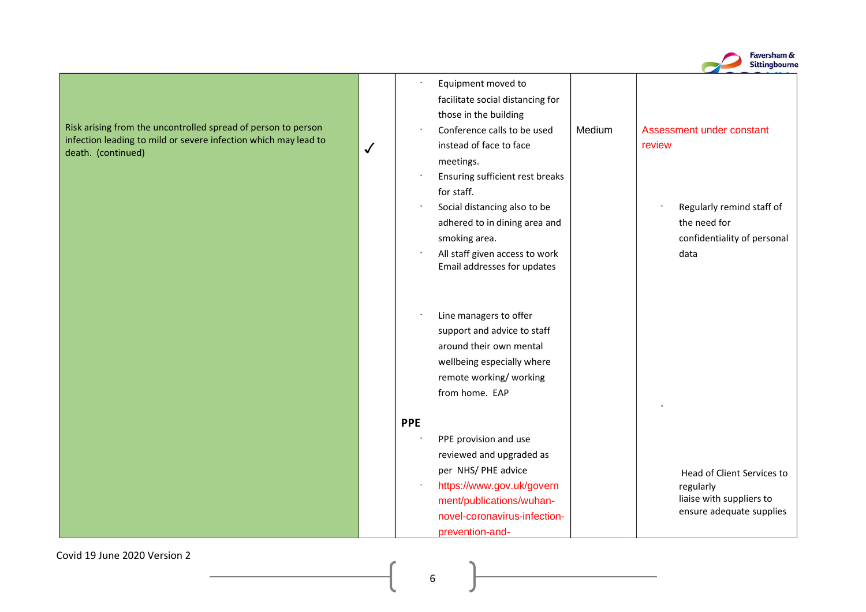

·

Equipment moved to facilitate social distancing for those in the building

· Conference calls to be used  $\bigtriangledown$  instead of face to face  $\bigtriangledown$  review meetings.

> · Ensuring sufficient rest breaks for staff.

· Social distancing also to be adhered to in dining area and smoking area.

 $\cdot$  All staff given access to work  $\vert$  and a data Email addresses for updates

· Line managers to offer support and advice to staff around their own mental wellbeing especially where remote working/ working from home. EAP

implemented ·

#### **PPE**

· PPE provision and use reviewed and upgraded as [per](https://www.gov.uk/government/publications/wuhan-novel-coronavirus-infection-prevention-and-control/covid-19-personal-protective-equipment-ppe) [NHS/](https://www.gov.uk/government/publications/wuhan-novel-coronavirus-infection-prevention-and-control/covid-19-personal-protective-equipment-ppe) [PHE](https://www.gov.uk/government/publications/wuhan-novel-coronavirus-infection-prevention-and-control/covid-19-personal-protective-equipment-ppe) [advice](https://www.gov.uk/government/publications/wuhan-novel-coronavirus-infection-prevention-and-control/covid-19-personal-protective-equipment-ppe) [·](https://www.gov.uk/government/publications/wuhan-novel-coronavirus-infection-prevention-and-control/covid-19-personal-protective-equipment-ppe) [https://www.gov.uk/govern](https://www.gov.uk/government/publications/wuhan-novel-coronavirus-infection-prevention-and-control/covid-19-personal-protective-equipment-ppe) [ment/publications/wuhan](https://www.gov.uk/government/publications/wuhan-novel-coronavirus-infection-prevention-and-control/covid-19-personal-protective-equipment-ppe)[novel-coronavirus-infection](https://www.gov.uk/government/publications/wuhan-novel-coronavirus-infection-prevention-and-control/covid-19-personal-protective-equipment-ppe)[prevention-and-](https://www.gov.uk/government/publications/wuhan-novel-coronavirus-infection-prevention-and-control/covid-19-personal-protective-equipment-ppe) Medium | Assessment under constant

Regularly remind staff of the need for confidentiality of personal

> Head of Client Services to regularly liaise with suppliers to ensure adequate supplies

Covid 19 June 2020 Version 2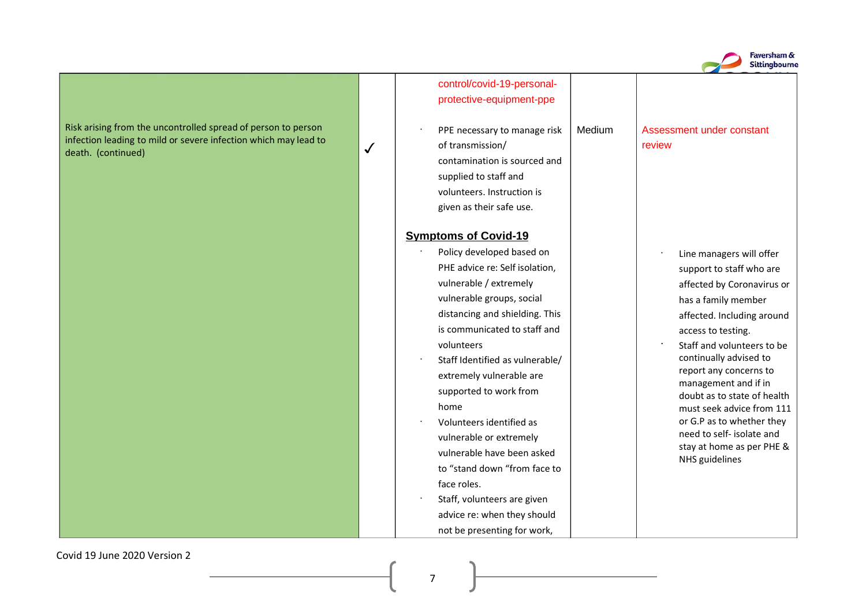

### [control/covid-19-personal](https://www.gov.uk/government/publications/wuhan-novel-coronavirus-infection-prevention-and-control/covid-19-personal-protective-equipment-ppe)[protective-equipment-ppe](https://www.gov.uk/government/publications/wuhan-novel-coronavirus-infection-prevention-and-control/covid-19-personal-protective-equipment-ppe)

PPE necessary to manage risk  $\parallel$  Medium  $\begin{array}{c|c|c|c} \boldsymbol{\checkmark} & \boldsymbol{\check{o}} & \boldsymbol{\check{c}} & \boldsymbol{\check{c}} & \boldsymbol{\check{c}} & \boldsymbol{\check{c}} & \boldsymbol{\check{c}} & \boldsymbol{\check{c}} & \boldsymbol{\check{c}} & \boldsymbol{\check{c}} & \boldsymbol{\check{c}} & \boldsymbol{\check{c}} & \boldsymbol{\check{c}} & \boldsymbol{\check{c}} & \boldsymbol{\check{c}} & \boldsymbol{\check{c}} & \boldsymbol{\check{c}} & \boldsymbol{\check{c}} & \boldsymbol{\check{c}} & \boldsymbol{\check{c}} & \boldsymbol{\check{c}} & \boldsymbol{\check{c}} & \boldsymbol{\check{c}} & \bold$ contamination is sourced and supplied to staff and volunteers. Instruction is given as their safe use.

#### **Symptoms of Covid-19**

- Policy developed based on PHE advice re: Self isolation, vulnerable / extremely vulnerable groups, social distancing and shielding. This is communicated to staff and volunteers
- · Staff Identified as vulnerable/ extremely vulnerable are supported to work from home
- · Volunteers identified as vulnerable or extremely vulnerable have been asked to "stand down "from face to face roles.
- · Staff, volunteers are given advice re: when they should not be presenting for work,

# Assessment under constant

·

·

- Line managers will offer support to staff who are affected by Coronavirus or has a family member affected. Including around access to testing.
- Staff and volunteers to be continually advised to report any concerns to management and if in doubt as to state of health must seek advice from 111 or G.P as to whether they need to self- isolate and stay at home as per PHE & NHS guidelines

Covid 19 June 2020 Version 2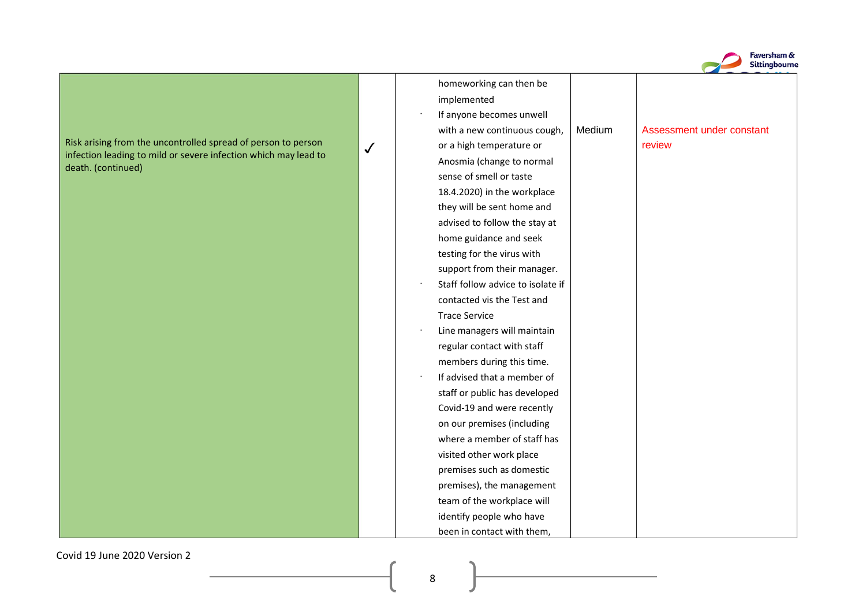

Covid 19 June 2020 Version 2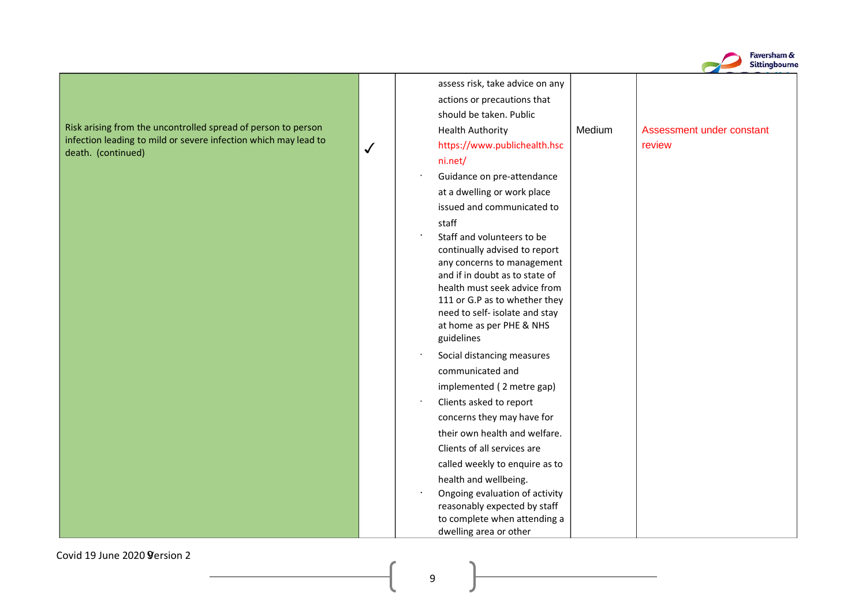

|                                                                 |              | assess risk, take advice on any                                |        |                           |
|-----------------------------------------------------------------|--------------|----------------------------------------------------------------|--------|---------------------------|
|                                                                 |              | actions or precautions that                                    |        |                           |
|                                                                 |              | should be taken. Public                                        |        |                           |
| Risk arising from the uncontrolled spread of person to person   |              | <b>Health Authority</b>                                        | Medium | Assessment under constant |
| infection leading to mild or severe infection which may lead to | $\checkmark$ | https://www.publichealth.hsc                                   |        | review                    |
| death. (continued)                                              |              | ni.net/                                                        |        |                           |
|                                                                 |              | Guidance on pre-attendance                                     |        |                           |
|                                                                 |              | at a dwelling or work place                                    |        |                           |
|                                                                 |              | issued and communicated to                                     |        |                           |
|                                                                 |              | staff                                                          |        |                           |
|                                                                 |              | Staff and volunteers to be                                     |        |                           |
|                                                                 |              | continually advised to report                                  |        |                           |
|                                                                 |              | any concerns to management                                     |        |                           |
|                                                                 |              | and if in doubt as to state of<br>health must seek advice from |        |                           |
|                                                                 |              | 111 or G.P as to whether they                                  |        |                           |
|                                                                 |              | need to self- isolate and stay                                 |        |                           |
|                                                                 |              | at home as per PHE & NHS                                       |        |                           |
|                                                                 |              | guidelines                                                     |        |                           |
|                                                                 |              | Social distancing measures                                     |        |                           |
|                                                                 |              | communicated and                                               |        |                           |
|                                                                 |              | implemented (2 metre gap)                                      |        |                           |
|                                                                 |              | Clients asked to report                                        |        |                           |
|                                                                 |              | concerns they may have for                                     |        |                           |
|                                                                 |              | their own health and welfare.                                  |        |                           |
|                                                                 |              | Clients of all services are                                    |        |                           |
|                                                                 |              | called weekly to enquire as to                                 |        |                           |
|                                                                 |              | health and wellbeing.                                          |        |                           |
|                                                                 |              | Ongoing evaluation of activity                                 |        |                           |
|                                                                 |              | reasonably expected by staff                                   |        |                           |
|                                                                 |              | to complete when attending a                                   |        |                           |
|                                                                 |              | dwelling area or other                                         |        |                           |

Covid 19 June 2020 **9** ersion 2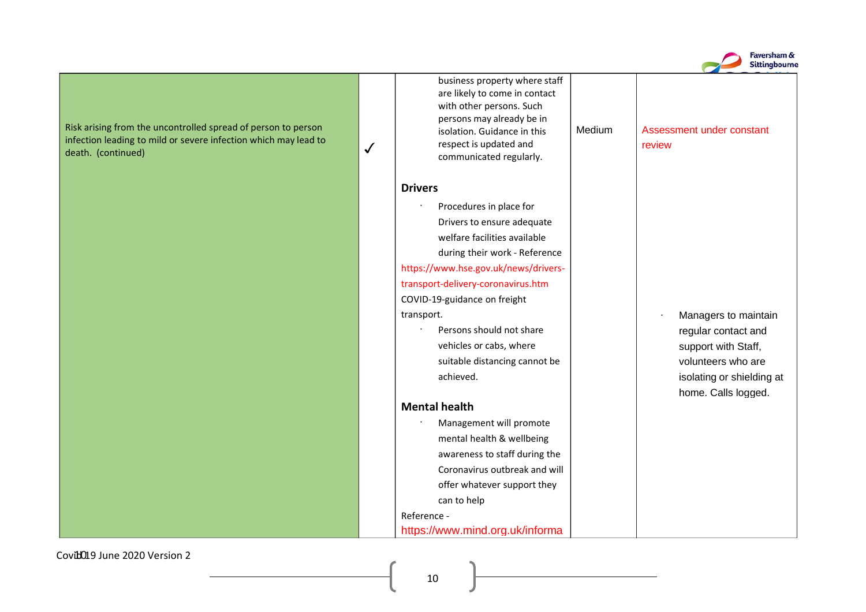

business property where staff are likely to come in contact with other persons. Such persons may already be in isolation. Guidance in this respect is updated and ✓ review communicated regularly. **Drivers** · Procedures in place for Drivers to ensure adequate welfare facilities available [during](https://www.hse.gov.uk/news/drivers-transport-delivery-coronavirus.htm) [their](https://www.hse.gov.uk/news/drivers-transport-delivery-coronavirus.htm) [work](https://www.hse.gov.uk/news/drivers-transport-delivery-coronavirus.htm) [-](https://www.hse.gov.uk/news/drivers-transport-delivery-coronavirus.htm) [Reference](https://www.hse.gov.uk/news/drivers-transport-delivery-coronavirus.htm) [https://www.hse.gov.uk/news/drivers](https://www.hse.gov.uk/news/drivers-transport-delivery-coronavirus.htm)[transport-delivery-coronavirus.htm](https://www.hse.gov.uk/news/drivers-transport-delivery-coronavirus.htm) COVID-19-guidance on freight transport. **and the contract of the contract of the maintain** and the Managers to maintain Persons should not share vehicles or cabs, where suitable distancing cannot be achieved. **Mental health** · Management will promote mental health & wellbeing awareness to staff during the Coronavirus outbreak and will offer whatever support they can to help [Reference](https://www.mind.org.uk/information-support/coronavirus-and-your-wellbeing/) [-](https://www.mind.org.uk/information-support/coronavirus-and-your-wellbeing/)

Medium | Assessment under constant

regular contact and support with Staff, volunteers who are isolating or shielding at home. Calls logged.

[https://www.mind.org.uk/informa](https://www.mind.org.uk/information-support/coronavirus-and-your-wellbeing/)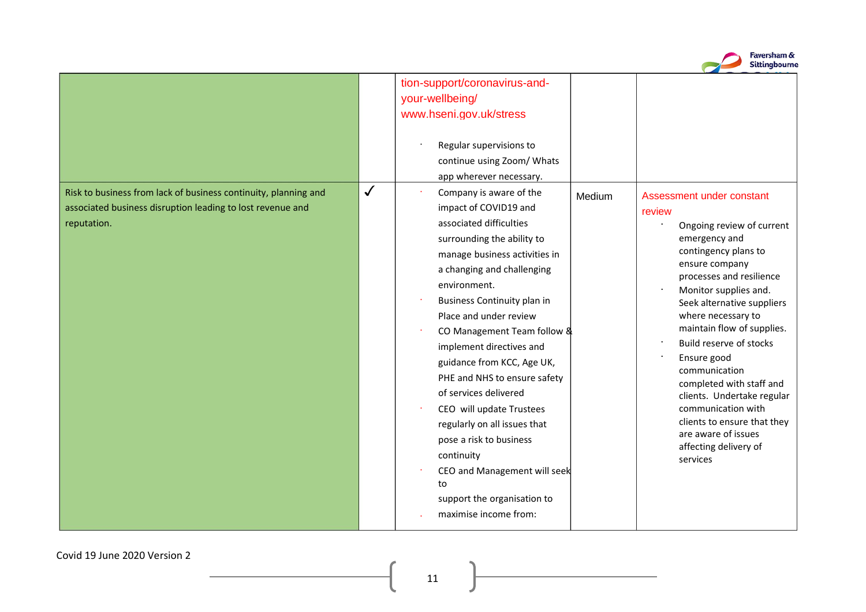|                                                                                                                                              |              |                                                                                                                                                                                                                                                                                                                                                                                                                                                                                                                                                                                                                                                                    |        | Sittingbourne                                                                                                                                                                                                                                                                                                                                                                                                                                                       |
|----------------------------------------------------------------------------------------------------------------------------------------------|--------------|--------------------------------------------------------------------------------------------------------------------------------------------------------------------------------------------------------------------------------------------------------------------------------------------------------------------------------------------------------------------------------------------------------------------------------------------------------------------------------------------------------------------------------------------------------------------------------------------------------------------------------------------------------------------|--------|---------------------------------------------------------------------------------------------------------------------------------------------------------------------------------------------------------------------------------------------------------------------------------------------------------------------------------------------------------------------------------------------------------------------------------------------------------------------|
| Risk to business from lack of business continuity, planning and<br>associated business disruption leading to lost revenue and<br>reputation. | $\checkmark$ | tion-support/coronavirus-and-<br>your-wellbeing/<br>www.hseni.gov.uk/stress<br>Regular supervisions to<br>continue using Zoom/ Whats<br>app wherever necessary.<br>Company is aware of the<br>×<br>impact of COVID19 and<br>associated difficulties<br>surrounding the ability to<br>manage business activities in<br>a changing and challenging<br>environment.<br>Business Continuity plan in<br>Place and under review<br>CO Management Team follow &<br>implement directives and<br>guidance from KCC, Age UK,<br>PHE and NHS to ensure safety<br>of services delivered<br>CEO will update Trustees<br>regularly on all issues that<br>pose a risk to business | Medium | Assessment under constant<br>review<br>Ongoing review of current<br>emergency and<br>contingency plans to<br>ensure company<br>processes and resilience<br>Monitor supplies and.<br>Seek alternative suppliers<br>where necessary to<br>maintain flow of supplies.<br>Build reserve of stocks<br>Ensure good<br>communication<br>completed with staff and<br>clients. Undertake regular<br>communication with<br>clients to ensure that they<br>are aware of issues |
|                                                                                                                                              |              | continuity<br>CEO and Management will seek<br>to<br>support the organisation to<br>maximise income from:                                                                                                                                                                                                                                                                                                                                                                                                                                                                                                                                                           |        | affecting delivery of<br>services                                                                                                                                                                                                                                                                                                                                                                                                                                   |

Faversham &

Covid 19 June 2020 Version 2

11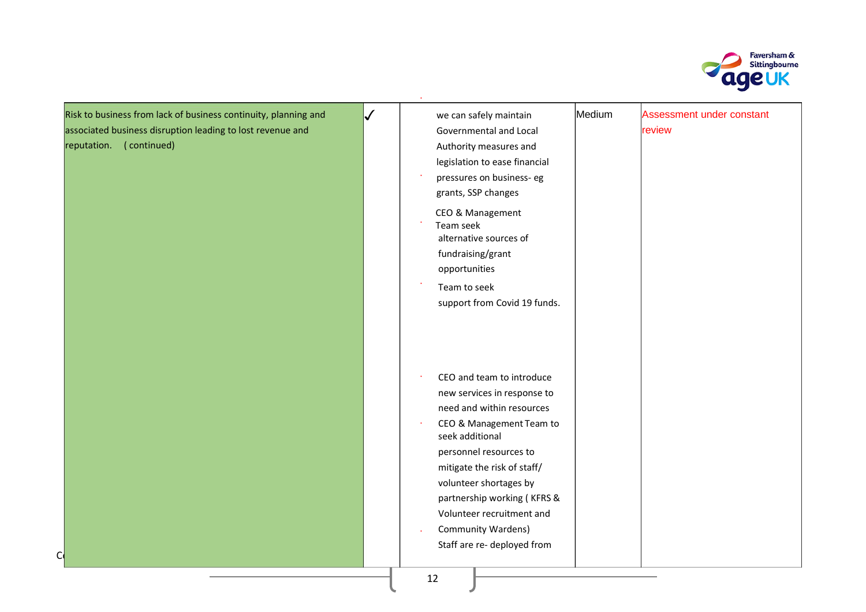

Risk to business from lack of business continuity, planning and associated business disruption leading to lost revenue and reputation. ( continued)

Covid 19 June 2020 Version 2020 Version 2020 Version 2020 Version 2020 Version 2020

| $\checkmark$ | we can safely maintain                                                                                                                                                                                                  | Medium | Assessment under constant |
|--------------|-------------------------------------------------------------------------------------------------------------------------------------------------------------------------------------------------------------------------|--------|---------------------------|
|              | Governmental and Local                                                                                                                                                                                                  |        | review                    |
|              | Authority measures and                                                                                                                                                                                                  |        |                           |
|              | legislation to ease financial                                                                                                                                                                                           |        |                           |
|              | pressures on business- eg                                                                                                                                                                                               |        |                           |
|              | grants, SSP changes                                                                                                                                                                                                     |        |                           |
|              | CEO & Management<br>Team seek<br>alternative sources of<br>fundraising/grant<br>opportunities<br>Team to seek<br>support from Covid 19 funds.                                                                           |        |                           |
|              | CEO and team to introduce<br>new services in response to<br>need and within resources<br>CEO & Management Team to<br>seek additional<br>personnel resources to<br>mitigate the risk of staff/<br>volunteer shortages by |        |                           |
|              | partnership working (KFRS &                                                                                                                                                                                             |        |                           |
|              | Volunteer recruitment and                                                                                                                                                                                               |        |                           |
|              | <b>Community Wardens)</b>                                                                                                                                                                                               |        |                           |
|              | Staff are re- deployed from                                                                                                                                                                                             |        |                           |
|              |                                                                                                                                                                                                                         |        |                           |

·